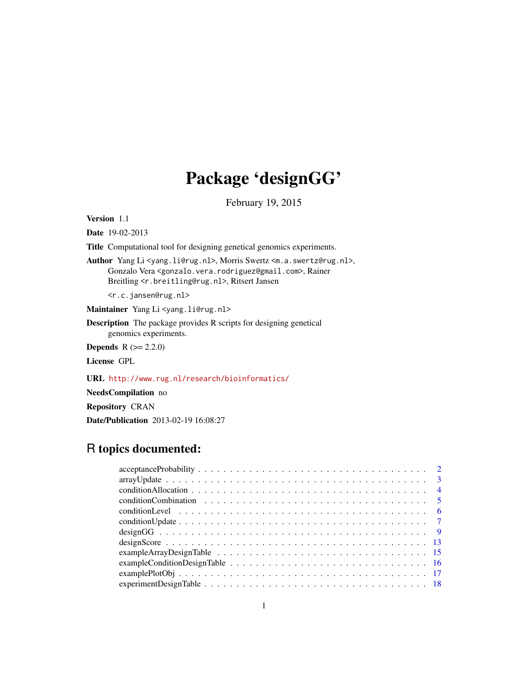# Package 'designGG'

February 19, 2015

Version 1.1

Date 19-02-2013

Title Computational tool for designing genetical genomics experiments.

Author Yang Li <yang.li@rug.nl>, Morris Swertz <m.a.swertz@rug.nl>, Gonzalo Vera <gonzalo.vera.rodriguez@gmail.com>, Rainer Breitling <r.breitling@rug.nl>, Ritsert Jansen

<r.c.jansen@rug.nl>

Maintainer Yang Li <yang.li@rug.nl>

Description The package provides R scripts for designing genetical genomics experiments.

**Depends**  $R (= 2.2.0)$ 

License GPL

URL <http://www.rug.nl/research/bioinformatics/>

NeedsCompilation no

Repository CRAN

Date/Publication 2013-02-19 16:08:27

# R topics documented:

| $exampleCondition DesignTable \dots \dots \dots \dots \dots \dots \dots \dots \dots \dots \dots \dots \dots \dots \dots \dots \dots \dots$ |  |
|--------------------------------------------------------------------------------------------------------------------------------------------|--|
|                                                                                                                                            |  |
|                                                                                                                                            |  |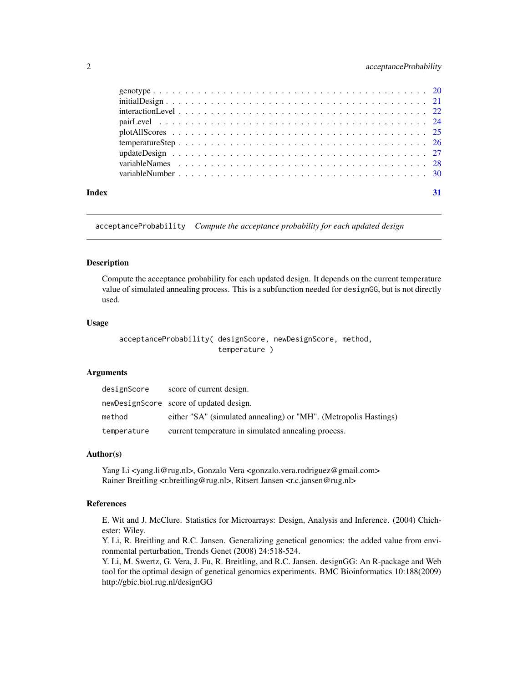<span id="page-1-0"></span>

| Index |  |  |  |  |  |  |  |  |  |  |  |  |  |  |  |  |  |  |  |  |
|-------|--|--|--|--|--|--|--|--|--|--|--|--|--|--|--|--|--|--|--|--|

<span id="page-1-1"></span>acceptanceProbability *Compute the acceptance probability for each updated design*

# Description

Compute the acceptance probability for each updated design. It depends on the current temperature value of simulated annealing process. This is a subfunction needed for designGG, but is not directly used.

#### Usage

```
acceptanceProbability( designScore, newDesignScore, method,
                       temperature )
```
#### Arguments

| designScore | score of current design.                                         |
|-------------|------------------------------------------------------------------|
|             | newDesignScore score of updated design.                          |
| method      | either "SA" (simulated annealing) or "MH". (Metropolis Hastings) |
| temperature | current temperature in simulated annealing process.              |

#### Author(s)

Yang Li <yang.li@rug.nl>, Gonzalo Vera <gonzalo.vera.rodriguez@gmail.com> Rainer Breitling <r.breitling@rug.nl>, Ritsert Jansen <r.c.jansen@rug.nl>

# References

E. Wit and J. McClure. Statistics for Microarrays: Design, Analysis and Inference. (2004) Chichester: Wiley.

Y. Li, R. Breitling and R.C. Jansen. Generalizing genetical genomics: the added value from environmental perturbation, Trends Genet (2008) 24:518-524.

Y. Li, M. Swertz, G. Vera, J. Fu, R. Breitling, and R.C. Jansen. designGG: An R-package and Web tool for the optimal design of genetical genomics experiments. BMC Bioinformatics 10:188(2009) http://gbic.biol.rug.nl/designGG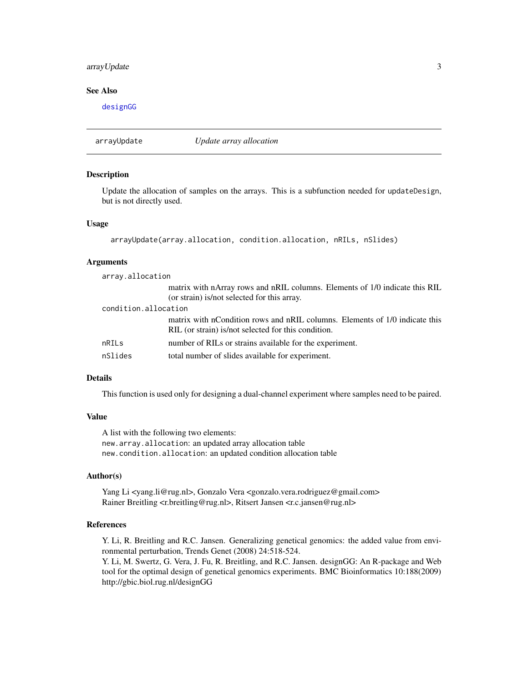# <span id="page-2-0"></span>arrayUpdate 3

# See Also

[designGG](#page-8-1)

<span id="page-2-1"></span>arrayUpdate *Update array allocation*

#### Description

Update the allocation of samples on the arrays. This is a subfunction needed for updateDesign, but is not directly used.

### Usage

```
arrayUpdate(array.allocation, condition.allocation, nRILs, nSlides)
```
#### Arguments

| array.allocation     |                                                                                                                                    |  |  |  |  |
|----------------------|------------------------------------------------------------------------------------------------------------------------------------|--|--|--|--|
|                      | matrix with nArray rows and nRIL columns. Elements of 1/0 indicate this RIL<br>(or strain) is/not selected for this array.         |  |  |  |  |
| condition.allocation |                                                                                                                                    |  |  |  |  |
|                      | matrix with nCondition rows and nRIL columns. Elements of 1/0 indicate this<br>RIL (or strain) is/not selected for this condition. |  |  |  |  |
| nRILs                | number of RILs or strains available for the experiment.                                                                            |  |  |  |  |
| nSlides              | total number of slides available for experiment.                                                                                   |  |  |  |  |

#### Details

This function is used only for designing a dual-channel experiment where samples need to be paired.

#### Value

A list with the following two elements: new.array.allocation: an updated array allocation table new.condition.allocation: an updated condition allocation table

#### Author(s)

Yang Li <yang.li@rug.nl>, Gonzalo Vera <gonzalo.vera.rodriguez@gmail.com> Rainer Breitling <r.breitling@rug.nl>, Ritsert Jansen <r.c.jansen@rug.nl>

#### References

Y. Li, R. Breitling and R.C. Jansen. Generalizing genetical genomics: the added value from environmental perturbation, Trends Genet (2008) 24:518-524.

Y. Li, M. Swertz, G. Vera, J. Fu, R. Breitling, and R.C. Jansen. designGG: An R-package and Web tool for the optimal design of genetical genomics experiments. BMC Bioinformatics 10:188(2009) http://gbic.biol.rug.nl/designGG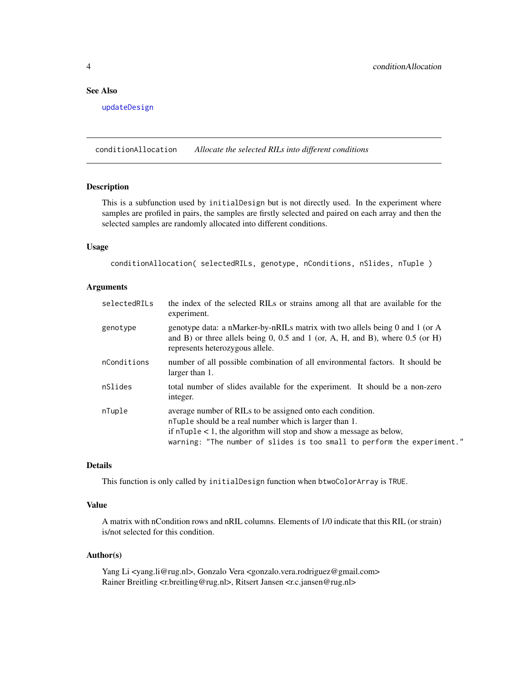# <span id="page-3-0"></span>See Also

[updateDesign](#page-26-1)

conditionAllocation *Allocate the selected RILs into different conditions*

# Description

This is a subfunction used by initialDesign but is not directly used. In the experiment where samples are profiled in pairs, the samples are firstly selected and paired on each array and then the selected samples are randomly allocated into different conditions.

# Usage

conditionAllocation( selectedRILs, genotype, nConditions, nSlides, nTuple )

#### Arguments

| selectedRILs | the index of the selected RILs or strains among all that are available for the<br>experiment.                                                                                                                                                                                      |
|--------------|------------------------------------------------------------------------------------------------------------------------------------------------------------------------------------------------------------------------------------------------------------------------------------|
| genotype     | genotype data: a nMarker-by-nRILs matrix with two allels being 0 and 1 (or A<br>and B) or three allels being 0, 0.5 and 1 (or, A, H, and B), where $0.5$ (or H)<br>represents heterozygous allele.                                                                                 |
| nConditions  | number of all possible combination of all environmental factors. It should be<br>larger than 1.                                                                                                                                                                                    |
| nSlides      | total number of slides available for the experiment. It should be a non-zero<br>integer.                                                                                                                                                                                           |
| nTuple       | average number of RILs to be assigned onto each condition.<br>n Tuple should be a real number which is larger than 1.<br>if $n \text{Tuple} < 1$ , the algorithm will stop and show a message as below,<br>warning: "The number of slides is too small to perform the experiment." |

# Details

This function is only called by initialDesign function when btwoColorArray is TRUE.

#### Value

A matrix with nCondition rows and nRIL columns. Elements of 1/0 indicate that this RIL (or strain) is/not selected for this condition.

#### Author(s)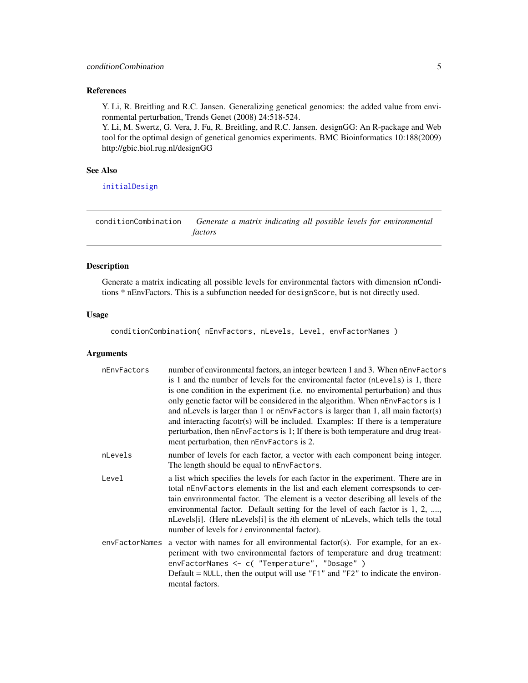# <span id="page-4-0"></span>References

Y. Li, R. Breitling and R.C. Jansen. Generalizing genetical genomics: the added value from environmental perturbation, Trends Genet (2008) 24:518-524.

Y. Li, M. Swertz, G. Vera, J. Fu, R. Breitling, and R.C. Jansen. designGG: An R-package and Web tool for the optimal design of genetical genomics experiments. BMC Bioinformatics 10:188(2009) http://gbic.biol.rug.nl/designGG

# See Also

[initialDesign](#page-20-1)

<span id="page-4-1"></span>conditionCombination *Generate a matrix indicating all possible levels for environmental factors*

# Description

Generate a matrix indicating all possible levels for environmental factors with dimension nConditions \* nEnvFactors. This is a subfunction needed for designScore, but is not directly used.

# Usage

conditionCombination( nEnvFactors, nLevels, Level, envFactorNames )

| nEnvFactors | number of environmental factors, an integer bewteen 1 and 3. When nEnvFactors<br>is 1 and the number of levels for the environmental factor (n Levels) is 1, there<br>is one condition in the experiment (i.e. no enviromental perturbation) and thus<br>only genetic factor will be considered in the algorithm. When nEnvFactors is 1<br>and nLevels is larger than 1 or $nEnvFactors$ is larger than 1, all main factor(s)<br>and interacting facotr(s) will be included. Examples: If there is a temperature<br>perturbation, then nEnvFactors is 1; If there is both temperature and drug treat-<br>ment perturbation, then nEnvFactors is 2. |
|-------------|----------------------------------------------------------------------------------------------------------------------------------------------------------------------------------------------------------------------------------------------------------------------------------------------------------------------------------------------------------------------------------------------------------------------------------------------------------------------------------------------------------------------------------------------------------------------------------------------------------------------------------------------------|
| nLevels     | number of levels for each factor, a vector with each component being integer.<br>The length should be equal to nEnvFactors.                                                                                                                                                                                                                                                                                                                                                                                                                                                                                                                        |
| Level       | a list which specifies the levels for each factor in the experiment. There are in<br>total nEnvFactors elements in the list and each element correspsonds to cer-<br>tain environmental factor. The element is a vector describing all levels of the<br>environmental factor. Default setting for the level of each factor is 1, 2, ,<br>nLevels[i]. (Here nLevels[i] is the <i>i</i> th element of nLevels, which tells the total<br>number of levels for <i>i</i> environmental factor).                                                                                                                                                         |
|             | envFactorNames a vector with names for all environmental factor(s). For example, for an ex-<br>periment with two environmental factors of temperature and drug treatment:<br>envFactorNames <- c( "Temperature", "Dosage" )<br>Default = $NULL$ , then the output will use " $F1$ " and " $F2$ " to indicate the environ-<br>mental factors.                                                                                                                                                                                                                                                                                                       |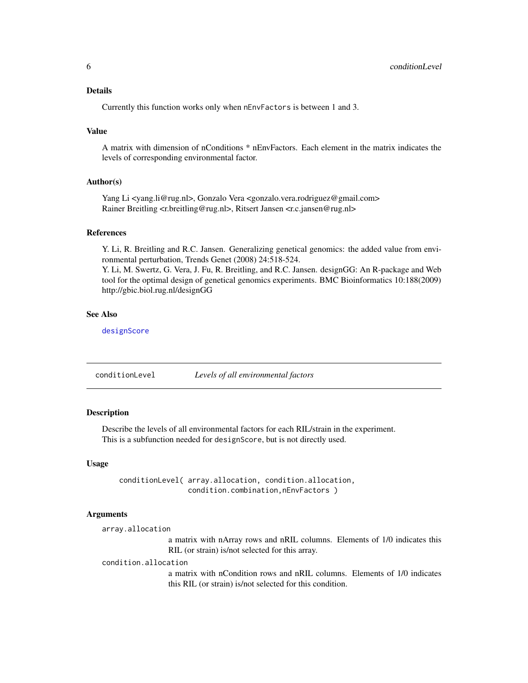# <span id="page-5-0"></span>Details

Currently this function works only when nEnvFactors is between 1 and 3.

#### Value

A matrix with dimension of nConditions \* nEnvFactors. Each element in the matrix indicates the levels of corresponding environmental factor.

#### Author(s)

Yang Li <yang.li@rug.nl>, Gonzalo Vera <gonzalo.vera.rodriguez@gmail.com> Rainer Breitling <r.breitling@rug.nl>, Ritsert Jansen <r.c.jansen@rug.nl>

# References

Y. Li, R. Breitling and R.C. Jansen. Generalizing genetical genomics: the added value from environmental perturbation, Trends Genet (2008) 24:518-524.

Y. Li, M. Swertz, G. Vera, J. Fu, R. Breitling, and R.C. Jansen. designGG: An R-package and Web tool for the optimal design of genetical genomics experiments. BMC Bioinformatics 10:188(2009) http://gbic.biol.rug.nl/designGG

#### See Also

[designScore](#page-12-1)

<span id="page-5-1"></span>conditionLevel *Levels of all environmental factors*

# Description

Describe the levels of all environmental factors for each RIL/strain in the experiment. This is a subfunction needed for designScore, but is not directly used.

#### Usage

conditionLevel( array.allocation, condition.allocation, condition.combination,nEnvFactors )

#### Arguments

```
array.allocation
```
a matrix with nArray rows and nRIL columns. Elements of 1/0 indicates this RIL (or strain) is/not selected for this array.

#### condition.allocation

a matrix with nCondition rows and nRIL columns. Elements of 1/0 indicates this RIL (or strain) is/not selected for this condition.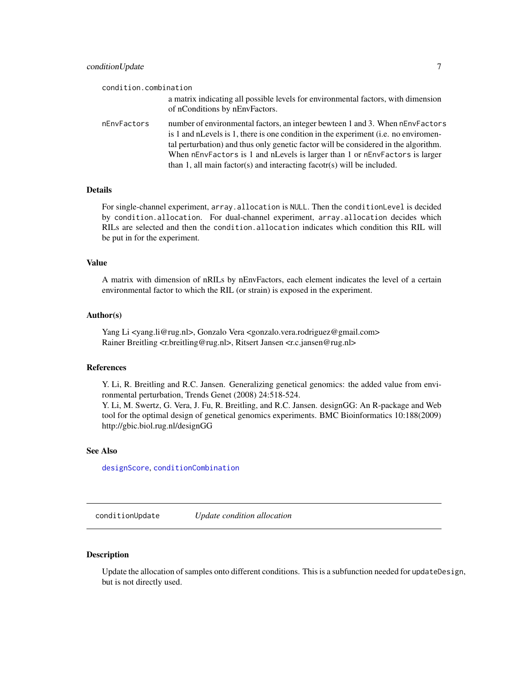<span id="page-6-0"></span>

| condition.combination |                                                                                                                                                                                                                                                                                                                                                                                                                       |
|-----------------------|-----------------------------------------------------------------------------------------------------------------------------------------------------------------------------------------------------------------------------------------------------------------------------------------------------------------------------------------------------------------------------------------------------------------------|
|                       | a matrix indicating all possible levels for environmental factors, with dimension<br>of nConditions by nEnvFactors.                                                                                                                                                                                                                                                                                                   |
| nEnvFactors           | number of environmental factors, an integer bewteen 1 and 3. When nEnvFactors<br>is 1 and nLevels is 1, there is one condition in the experiment (i.e. no environmen-<br>tal perturbation) and thus only genetic factor will be considered in the algorithm.<br>When nEnvFactors is 1 and nLevels is larger than 1 or nEnvFactors is larger<br>than 1, all main factor(s) and interacting facotr(s) will be included. |

# Details

For single-channel experiment, array.allocation is NULL. Then the conditionLevel is decided by condition.allocation. For dual-channel experiment, array.allocation decides which RILs are selected and then the condition.allocation indicates which condition this RIL will be put in for the experiment.

## Value

A matrix with dimension of nRILs by nEnvFactors, each element indicates the level of a certain environmental factor to which the RIL (or strain) is exposed in the experiment.

#### Author(s)

Yang Li <yang.li@rug.nl>, Gonzalo Vera <gonzalo.vera.rodriguez@gmail.com> Rainer Breitling <r.breitling@rug.nl>, Ritsert Jansen <r.c.jansen@rug.nl>

#### References

Y. Li, R. Breitling and R.C. Jansen. Generalizing genetical genomics: the added value from environmental perturbation, Trends Genet (2008) 24:518-524.

Y. Li, M. Swertz, G. Vera, J. Fu, R. Breitling, and R.C. Jansen. designGG: An R-package and Web tool for the optimal design of genetical genomics experiments. BMC Bioinformatics 10:188(2009) http://gbic.biol.rug.nl/designGG

# See Also

[designScore](#page-12-1), [conditionCombination](#page-4-1)

conditionUpdate *Update condition allocation*

#### Description

Update the allocation of samples onto different conditions. This is a subfunction needed for updateDesign, but is not directly used.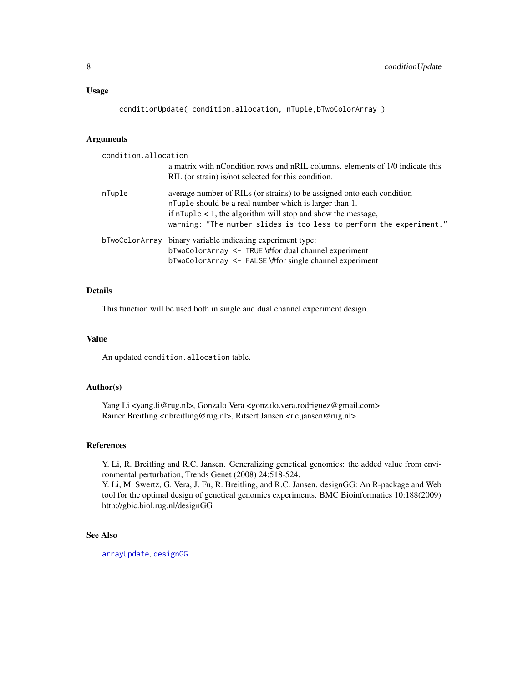<span id="page-7-0"></span>conditionUpdate( condition.allocation, nTuple,bTwoColorArray )

# Arguments

| condition.allocation |                                                                               |
|----------------------|-------------------------------------------------------------------------------|
|                      | a matrix with nCondition rows and nRIL columns, elements of 1/0 indicate this |
|                      | RIL (or strain) is/not selected for this condition.                           |
| nTuple               | average number of RILs (or strains) to be assigned onto each condition        |
|                      | n Tuple should be a real number which is larger than 1.                       |
|                      | if $n \text{Tuple} < 1$ , the algorithm will stop and show the message,       |
|                      | warning: "The number slides is too less to perform the experiment."           |
|                      | bTwoColorArray binary variable indicating experiment type:                    |
|                      | bTwoColorArray <- TRUE \#for dual channel experiment                          |
|                      | $bTwoColorArray \leq FALSE \# for single channel experiment$                  |
|                      |                                                                               |

# Details

This function will be used both in single and dual channel experiment design.

#### Value

An updated condition.allocation table.

#### Author(s)

Yang Li <yang.li@rug.nl>, Gonzalo Vera <gonzalo.vera.rodriguez@gmail.com> Rainer Breitling <r.breitling@rug.nl>, Ritsert Jansen <r.c.jansen@rug.nl>

# References

Y. Li, R. Breitling and R.C. Jansen. Generalizing genetical genomics: the added value from environmental perturbation, Trends Genet (2008) 24:518-524.

Y. Li, M. Swertz, G. Vera, J. Fu, R. Breitling, and R.C. Jansen. designGG: An R-package and Web tool for the optimal design of genetical genomics experiments. BMC Bioinformatics 10:188(2009) http://gbic.biol.rug.nl/designGG

## See Also

[arrayUpdate](#page-2-1), [designGG](#page-8-1)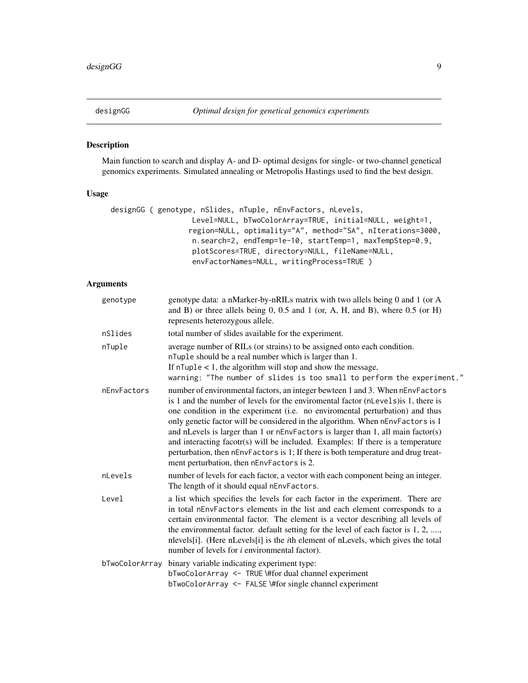<span id="page-8-1"></span><span id="page-8-0"></span>

# Description

Main function to search and display A- and D- optimal designs for single- or two-channel genetical genomics experiments. Simulated annealing or Metropolis Hastings used to find the best design.

## Usage

```
designGG ( genotype, nSlides, nTuple, nEnvFactors, nLevels,
                   Level=NULL, bTwoColorArray=TRUE, initial=NULL, weight=1,
                  region=NULL, optimality="A", method="SA", nIterations=3000,
                   n.search=2, endTemp=1e-10, startTemp=1, maxTempStep=0.9,
                   plotScores=TRUE, directory=NULL, fileName=NULL,
                   envFactorNames=NULL, writingProcess=TRUE )
```

| genotype       | genotype data: a nMarker-by-nRILs matrix with two allels being 0 and 1 (or A<br>and B) or three allels being 0, 0.5 and 1 (or, A, H, and B), where $0.5$ (or H)<br>represents heterozygous allele.                                                                                                                                                                                                                                                                                                                                                                                                                                              |
|----------------|-------------------------------------------------------------------------------------------------------------------------------------------------------------------------------------------------------------------------------------------------------------------------------------------------------------------------------------------------------------------------------------------------------------------------------------------------------------------------------------------------------------------------------------------------------------------------------------------------------------------------------------------------|
| nSlides        | total number of slides available for the experiment.                                                                                                                                                                                                                                                                                                                                                                                                                                                                                                                                                                                            |
| nTuple         | average number of RILs (or strains) to be assigned onto each condition.<br>nTuple should be a real number which is larger than 1.<br>If $n \text{Tuple} < 1$ , the algorithm will stop and show the message,<br>warning: "The number of slides is too small to perform the experiment."                                                                                                                                                                                                                                                                                                                                                         |
| nEnvFactors    | number of environmental factors, an integer bewteen 1 and 3. When nEnvFactors<br>is 1 and the number of levels for the environmental factor (nLevels) is 1, there is<br>one condition in the experiment (i.e. no enviromental perturbation) and thus<br>only genetic factor will be considered in the algorithm. When nEnvFactors is 1<br>and nLevels is larger than 1 or nEnvFactors is larger than 1, all main factor(s)<br>and interacting facotr(s) will be included. Examples: If there is a temperature<br>perturbation, then nEnvFactors is 1; If there is both temperature and drug treat-<br>ment perturbation, then nEnvFactors is 2. |
| nLevels        | number of levels for each factor, a vector with each component being an integer.<br>The length of it should equal nEnvFactors.                                                                                                                                                                                                                                                                                                                                                                                                                                                                                                                  |
| Level          | a list which specifies the levels for each factor in the experiment. There are<br>in total nEnvFactors elements in the list and each element corresponds to a<br>certain environmental factor. The element is a vector describing all levels of<br>the environmental factor. default setting for the level of each factor is 1, 2, ,<br>nlevels[i]. (Here nLevels[i] is the <i>i</i> th element of nLevels, which gives the total<br>number of levels for <i>i</i> environmental factor).                                                                                                                                                       |
| bTwoColorArray | binary variable indicating experiment type:<br>bTwoColorArray <- TRUE \#for dual channel experiment<br>bTwoColorArray <- FALSE \#for single channel experiment                                                                                                                                                                                                                                                                                                                                                                                                                                                                                  |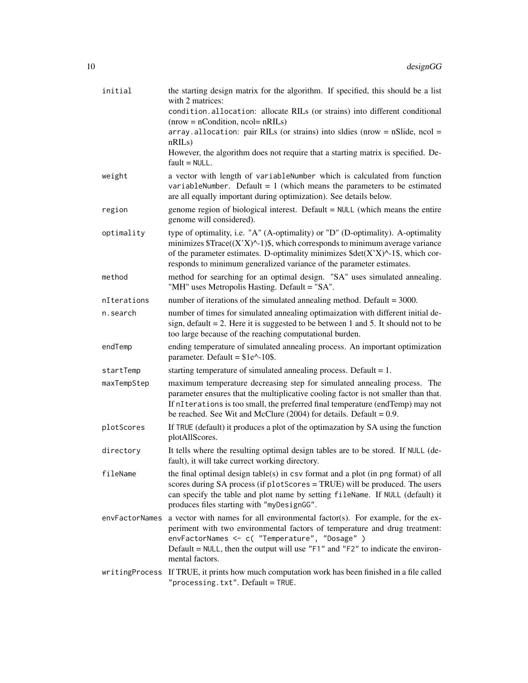| initial        | the starting design matrix for the algorithm. If specified, this should be a list<br>with 2 matrices:                                                                                                                                                                                                                                        |
|----------------|----------------------------------------------------------------------------------------------------------------------------------------------------------------------------------------------------------------------------------------------------------------------------------------------------------------------------------------------|
|                | condition.allocation: allocate RILs (or strains) into different conditional<br>$(nrow = nCondition, ncol = nRILs)$                                                                                                                                                                                                                           |
|                | $array$ . allocation: pair RILs (or strains) into sldies (nrow = nSlide, ncol =<br>nRILs)                                                                                                                                                                                                                                                    |
|                | However, the algorithm does not require that a starting matrix is specified. De-<br>$fault = NULL.$                                                                                                                                                                                                                                          |
| weight         | a vector with length of variableNumber which is calculated from function<br>variableNumber. Default = $1$ (which means the parameters to be estimated<br>are all equally important during optimization). See details below.                                                                                                                  |
| region         | genome region of biological interest. Default = NULL (which means the entire<br>genome will considered).                                                                                                                                                                                                                                     |
| optimality     | type of optimality, i.e. "A" (A-optimality) or "D" (D-optimality). A-optimality<br>minimizes $Trace((X'X)^{-1})\$ , which corresponds to minimum average variance<br>of the parameter estimates. D-optimality minimizes $\text{Sdet}(X'X)^{\wedge}$ -1\$, which cor-<br>responds to minimum generalized variance of the parameter estimates. |
| method         | method for searching for an optimal design. "SA" uses simulated annealing.<br>"MH" uses Metropolis Hasting. Default = "SA".                                                                                                                                                                                                                  |
| nIterations    | number of iterations of the simulated annealing method. Default $=$ 3000.                                                                                                                                                                                                                                                                    |
| n.search       | number of times for simulated annealing optimaization with different initial de-<br>sign, default $= 2$ . Here it is suggested to be between 1 and 5. It should not to be<br>too large because of the reaching computational burden.                                                                                                         |
| endTemp        | ending temperature of simulated annealing process. An important optimization<br>parameter. Default = $$1e^{\lambda}$ -10\$.                                                                                                                                                                                                                  |
| startTemp      | starting temperature of simulated annealing process. Default $= 1$ .                                                                                                                                                                                                                                                                         |
| maxTempStep    | maximum temperature decreasing step for simulated annealing process. The<br>parameter ensures that the multiplicative cooling factor is not smaller than that.<br>If nIterations is too small, the preferred final temperature (endTemp) may not<br>be reached. See Wit and McClure $(2004)$ for details. Default = 0.9.                     |
| plotScores     | If TRUE (default) it produces a plot of the optimazation by SA using the function<br>plotAllScores.                                                                                                                                                                                                                                          |
| directory      | It tells where the resulting optimal design tables are to be stored. If NULL (de-<br>fault), it will take currect working directory.                                                                                                                                                                                                         |
| fileName       | the final optimal design table(s) in csv format and a plot (in png format) of all<br>scores during SA process (if plotScores = TRUE) will be produced. The users<br>can specify the table and plot name by setting fileName. If NULL (default) it<br>produces files starting with "myDesignGG".                                              |
| envFactorNames | a vector with names for all environmental factor(s). For example, for the ex-<br>periment with two environmental factors of temperature and drug treatment:<br>envFactorNames <- c( "Temperature", "Dosage" )<br>Default = $NULL$ , then the output will use " $F1$ " and " $F2$ " to indicate the environ-<br>mental factors.               |
|                | writingProcess If TRUE, it prints how much computation work has been finished in a file called<br>" $processing.txt$ ". $Default = TRUE$ .                                                                                                                                                                                                   |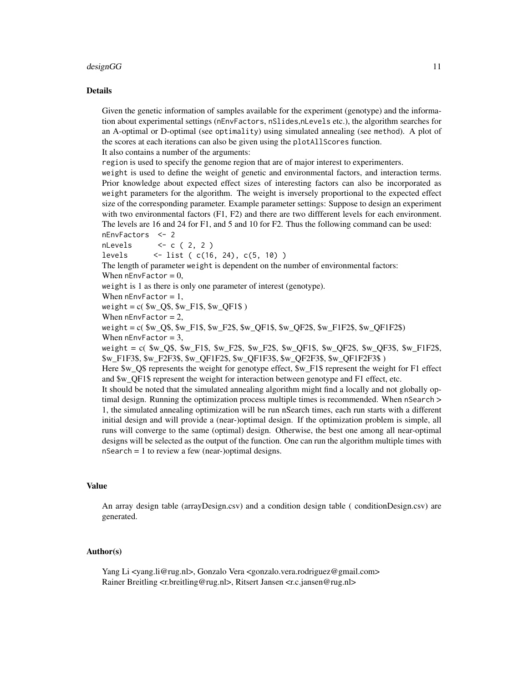#### designGG  $\qquad$  11

#### Details

Given the genetic information of samples available for the experiment (genotype) and the information about experimental settings (nEnvFactors, nSlides,nLevels etc.), the algorithm searches for an A-optimal or D-optimal (see optimality) using simulated annealing (see method). A plot of the scores at each iterations can also be given using the plotAllScores function. It also contains a number of the arguments:

region is used to specify the genome region that are of major interest to experimenters.

weight is used to define the weight of genetic and environmental factors, and interaction terms. Prior knowledge about expected effect sizes of interesting factors can also be incorporated as weight parameters for the algorithm. The weight is inversely proportional to the expected effect size of the corresponding parameter. Example parameter settings: Suppose to design an experiment with two environmental factors (F1, F2) and there are two different levels for each environment. The levels are 16 and 24 for F1, and 5 and 10 for F2. Thus the following command can be used: nEnvFactors <- 2

 $n$ Levels <- c ( 2, 2 ) levels <- list ( c(16, 24), c(5, 10) ) The length of parameter weight is dependent on the number of environmental factors: When  $nEnvFactor = 0$ , weight is 1 as there is only one parameter of interest (genotype). When  $nEnvFactor = 1$ , weight =  $c($  \$w\_Q\$, \$w\_F1\$, \$w\_QF1\$  $)$ When  $nEnvFactor = 2$ , weight = c( \$w\_Q\$, \$w\_F1\$, \$w\_F2\$, \$w\_QF1\$, \$w\_QF2\$, \$w\_F1F2\$, \$w\_QF1F2\$) When  $nEnvFactor = 3$ , weight  $= c$  ( \$w\_Q\$, \$w\_F1\$, \$w\_F2\$, \$w\_F2\$, \$w\_QF1\$, \$w\_QF2\$, \$w\_QF3\$, \$w\_F1F2\$, \$w\_F1F3\$, \$w\_F2F3\$, \$w\_QF1F2\$, \$w\_QF1F3\$, \$w\_QF2F3\$, \$w\_QF1F2F3\$ ) Here \$w\_Q\$ represents the weight for genotype effect, \$w\_F1\$ represent the weight for F1 effect and \$w\_QF1\$ represent the weight for interaction between genotype and F1 effect, etc.

It should be noted that the simulated annealing algorithm might find a locally and not globally optimal design. Running the optimization process multiple times is recommended. When nSearch > 1, the simulated annealing optimization will be run nSearch times, each run starts with a different initial design and will provide a (near-)optimal design. If the optimization problem is simple, all runs will converge to the same (optimal) design. Otherwise, the best one among all near-optimal designs will be selected as the output of the function. One can run the algorithm multiple times with  $nSearch = 1$  to review a few (near-)optimal designs.

#### Value

An array design table (arrayDesign.csv) and a condition design table ( conditionDesign.csv) are generated.

#### Author(s)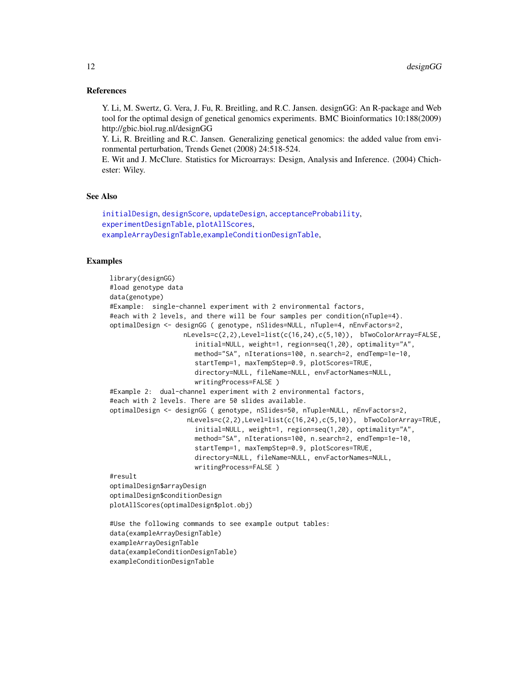#### <span id="page-11-0"></span>References

Y. Li, M. Swertz, G. Vera, J. Fu, R. Breitling, and R.C. Jansen. designGG: An R-package and Web tool for the optimal design of genetical genomics experiments. BMC Bioinformatics 10:188(2009) http://gbic.biol.rug.nl/designGG

Y. Li, R. Breitling and R.C. Jansen. Generalizing genetical genomics: the added value from environmental perturbation, Trends Genet (2008) 24:518-524.

E. Wit and J. McClure. Statistics for Microarrays: Design, Analysis and Inference. (2004) Chichester: Wiley.

#### See Also

```
initialDesign, designScore, updateDesign, acceptanceProbability,
experimentDesignTable, plotAllScores,
exampleArrayDesignTable,exampleConditionDesignTable,
```
### Examples

exampleConditionDesignTable

```
library(designGG)
#load genotype data
data(genotype)
#Example: single-channel experiment with 2 environmental factors,
#each with 2 levels, and there will be four samples per condition(nTuple=4).
optimalDesign <- designGG ( genotype, nSlides=NULL, nTuple=4, nEnvFactors=2,
                   nLevels=c(2,2),Level=list(c(16,24),c(5,10)), bTwoColorArray=FALSE,
                      initial=NULL, weight=1, region=seq(1,20), optimality="A",
                      method="SA", nIterations=100, n.search=2, endTemp=1e-10,
                      startTemp=1, maxTempStep=0.9, plotScores=TRUE,
                      directory=NULL, fileName=NULL, envFactorNames=NULL,
                      writingProcess=FALSE )
#Example 2: dual-channel experiment with 2 environmental factors,
#each with 2 levels. There are 50 slides available.
optimalDesign <- designGG ( genotype, nSlides=50, nTuple=NULL, nEnvFactors=2,
                    nLevels=c(2,2),Level=list(c(16,24),c(5,10)), bTwoColorArray=TRUE,
                      initial=NULL, weight=1, region=seq(1,20), optimality="A",
                      method="SA", nIterations=100, n.search=2, endTemp=1e-10,
                      startTemp=1, maxTempStep=0.9, plotScores=TRUE,
                      directory=NULL, fileName=NULL, envFactorNames=NULL,
                      writingProcess=FALSE )
#result
optimalDesign$arrayDesign
optimalDesign$conditionDesign
plotAllScores(optimalDesign$plot.obj)
#Use the following commands to see example output tables:
data(exampleArrayDesignTable)
exampleArrayDesignTable
data(exampleConditionDesignTable)
```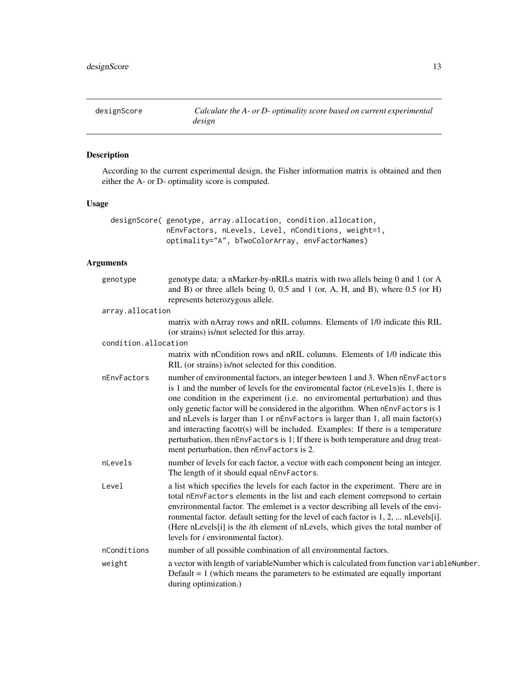<span id="page-12-1"></span><span id="page-12-0"></span>

# Description

According to the current experimental design, the Fisher information matrix is obtained and then either the A- or D- optimality score is computed.

# Usage

```
designScore( genotype, array.allocation, condition.allocation,
             nEnvFactors, nLevels, Level, nConditions, weight=1,
             optimality="A", bTwoColorArray, envFactorNames)
```

| genotype data: a nMarker-by-nRILs matrix with two allels being 0 and 1 (or A<br>and B) or three allels being 0, 0.5 and 1 (or, A, H, and B), where $0.5$ (or H)<br>represents heterozygous allele.                                                                                                                                                                                                                                                                                                                                                                                                                                              |
|-------------------------------------------------------------------------------------------------------------------------------------------------------------------------------------------------------------------------------------------------------------------------------------------------------------------------------------------------------------------------------------------------------------------------------------------------------------------------------------------------------------------------------------------------------------------------------------------------------------------------------------------------|
| array.allocation                                                                                                                                                                                                                                                                                                                                                                                                                                                                                                                                                                                                                                |
| matrix with nArray rows and nRIL columns. Elements of 1/0 indicate this RIL<br>(or strains) is/not selected for this array.                                                                                                                                                                                                                                                                                                                                                                                                                                                                                                                     |
| condition.allocation                                                                                                                                                                                                                                                                                                                                                                                                                                                                                                                                                                                                                            |
| matrix with nCondition rows and nRIL columns. Elements of 1/0 indicate this<br>RIL (or strains) is/not selected for this condition.                                                                                                                                                                                                                                                                                                                                                                                                                                                                                                             |
| number of environmental factors, an integer bewteen 1 and 3. When nEnvFactors<br>is 1 and the number of levels for the environmental factor (nLevels) is 1, there is<br>one condition in the experiment (i.e. no enviromental perturbation) and thus<br>only genetic factor will be considered in the algorithm. When nEnvFactors is 1<br>and nLevels is larger than 1 or nEnvFactors is larger than 1, all main factor(s)<br>and interacting facotr(s) will be included. Examples: If there is a temperature<br>perturbation, then nEnvFactors is 1; If there is both temperature and drug treat-<br>ment perturbation, then nEnvFactors is 2. |
| number of levels for each factor, a vector with each component being an integer.<br>The length of it should equal nEnvFactors.                                                                                                                                                                                                                                                                                                                                                                                                                                                                                                                  |
| a list which specifies the levels for each factor in the experiment. There are in<br>total nEnvFactors elements in the list and each element correpsond to certain<br>envrironmental factor. The emlemet is a vector describing all levels of the envi-<br>ronmental factor. default setting for the level of each factor is 1, 2,  nLevels[i].<br>(Here nLevels[i] is the <i>i</i> th element of nLevels, which gives the total number of<br>levels for <i>i</i> environmental factor).                                                                                                                                                        |
| number of all possible combination of all environmental factors.                                                                                                                                                                                                                                                                                                                                                                                                                                                                                                                                                                                |
| a vector with length of variableNumber which is calculated from function variableNumber.<br>Default $= 1$ (which means the parameters to be estimated are equally important<br>during optimization.)                                                                                                                                                                                                                                                                                                                                                                                                                                            |
|                                                                                                                                                                                                                                                                                                                                                                                                                                                                                                                                                                                                                                                 |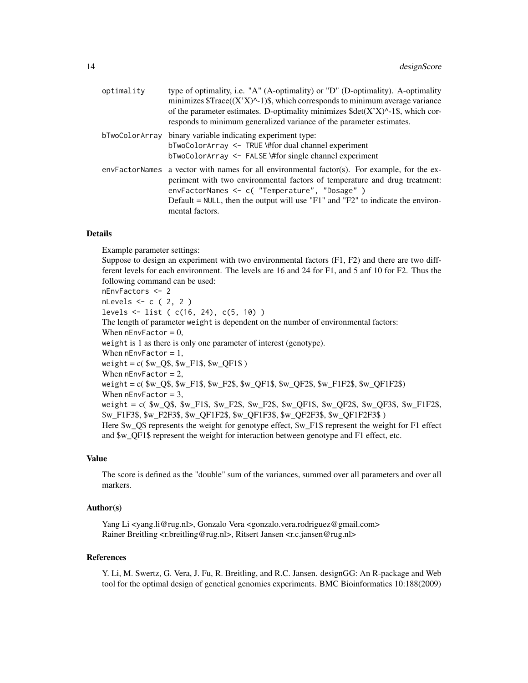| optimality     | type of optimality, i.e. "A" (A-optimality) or "D" (D-optimality). A-optimality<br>minimizes $Trace((X'X)^{-1})\$ , which corresponds to minimum average variance<br>of the parameter estimates. D-optimality minimizes $\delta det(X'X)^{-1}\$ , which cor-<br>responds to minimum generalized variance of the parameter estimates. |
|----------------|--------------------------------------------------------------------------------------------------------------------------------------------------------------------------------------------------------------------------------------------------------------------------------------------------------------------------------------|
| bTwoColorArray | binary variable indicating experiment type:<br>bTwoColorArray <- TRUE \#for dual channel experiment<br>$bTwoColorArray \leq FALSE \# for single channel experiment$                                                                                                                                                                  |
|                | envFactorNames a vector with names for all environmental factor(s). For example, for the ex-<br>periment with two environmental factors of temperature and drug treatment:<br>envFactorNames <- c( "Temperature", "Dosage" )<br>Default = NULL, then the output will use "F1" and "F2" to indicate the environ-<br>mental factors.   |

#### Details

Example parameter settings: Suppose to design an experiment with two environmental factors (F1, F2) and there are two diffferent levels for each environment. The levels are 16 and 24 for F1, and 5 anf 10 for F2. Thus the following command can be used: nEnvFactors <- 2 nLevels <- c ( 2, 2 ) levels <- list ( c(16, 24), c(5, 10) ) The length of parameter weight is dependent on the number of environmental factors: When  $nEnvFactor = 0$ , weight is 1 as there is only one parameter of interest (genotype). When  $nEnvfactor = 1$ , weight =  $c($  \$w\_Q\$, \$w\_F1\$, \$w\_QF1\$  $)$ When  $nEnvFactor = 2$ , weight = c( \$w\_Q\$, \$w\_F1\$, \$w\_F2\$, \$w\_QF1\$, \$w\_QF2\$, \$w\_F1F2\$, \$w\_QF1F2\$) When  $nEnvfactor = 3$ , weight = c( \$w\_Q\$, \$w\_F1\$, \$w\_F2\$, \$w\_F2\$, \$w\_QF1\$, \$w\_QF2\$, \$w\_QF3\$, \$w\_F1F2\$, \$w\_F1F3\$, \$w\_F2F3\$, \$w\_QF1F2\$, \$w\_QF1F3\$, \$w\_QF2F3\$, \$w\_QF1F2F3\$ ) Here \$w\_Q\$ represents the weight for genotype effect, \$w\_F1\$ represent the weight for F1 effect and \$w\_QF1\$ represent the weight for interaction between genotype and F1 effect, etc.

### Value

The score is defined as the "double" sum of the variances, summed over all parameters and over all markers.

# Author(s)

Yang Li <yang.li@rug.nl>, Gonzalo Vera <gonzalo.vera.rodriguez@gmail.com> Rainer Breitling <r.breitling@rug.nl>, Ritsert Jansen <r.c.jansen@rug.nl>

#### References

Y. Li, M. Swertz, G. Vera, J. Fu, R. Breitling, and R.C. Jansen. designGG: An R-package and Web tool for the optimal design of genetical genomics experiments. BMC Bioinformatics 10:188(2009)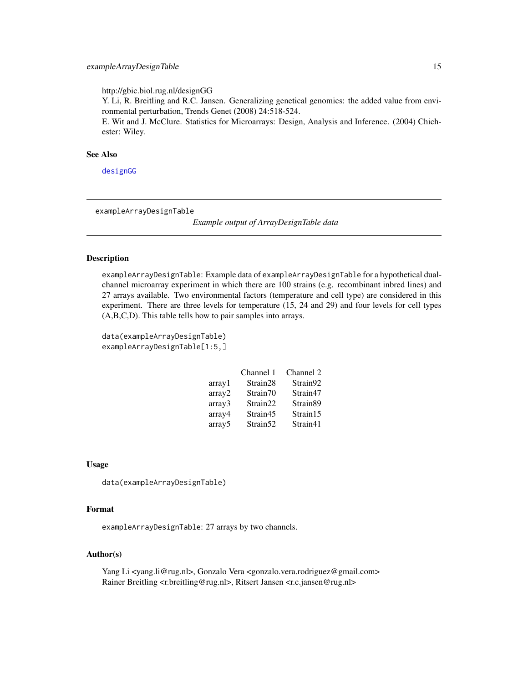<span id="page-14-0"></span>http://gbic.biol.rug.nl/designGG

Y. Li, R. Breitling and R.C. Jansen. Generalizing genetical genomics: the added value from environmental perturbation, Trends Genet (2008) 24:518-524.

E. Wit and J. McClure. Statistics for Microarrays: Design, Analysis and Inference. (2004) Chichester: Wiley.

#### See Also

[designGG](#page-8-1)

<span id="page-14-1"></span>exampleArrayDesignTable

*Example output of ArrayDesignTable data*

#### **Description**

exampleArrayDesignTable: Example data of exampleArrayDesignTable for a hypothetical dualchannel microarray experiment in which there are 100 strains (e.g. recombinant inbred lines) and 27 arrays available. Two environmental factors (temperature and cell type) are considered in this experiment. There are three levels for temperature (15, 24 and 29) and four levels for cell types (A,B,C,D). This table tells how to pair samples into arrays.

```
data(exampleArrayDesignTable)
exampleArrayDesignTable[1:5,]
```

|                    | Channel 1            | Channel 2 |
|--------------------|----------------------|-----------|
| array1             | Strain <sub>28</sub> | Strain92  |
| array2             | Strain <sub>70</sub> | Strain47  |
| array3             | Strain22             | Strain89  |
| array4             | Strain45             | Strain15  |
| array <sub>5</sub> | Strain <sub>52</sub> | Strain41  |

#### Usage

data(exampleArrayDesignTable)

#### Format

exampleArrayDesignTable: 27 arrays by two channels.

# Author(s)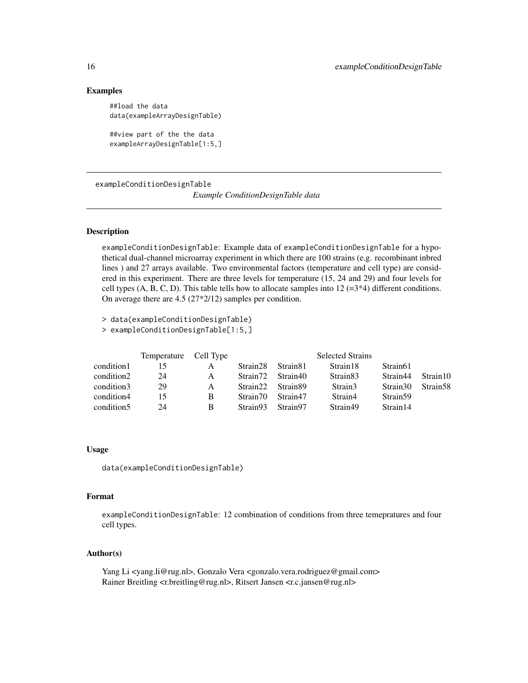#### Examples

```
##load the data
data(exampleArrayDesignTable)
##view part of the the data
```
exampleArrayDesignTable[1:5,]

<span id="page-15-1"></span>exampleConditionDesignTable *Example ConditionDesignTable data*

#### Description

exampleConditionDesignTable: Example data of exampleConditionDesignTable for a hypothetical dual-channel microarray experiment in which there are 100 strains (e.g. recombinant inbred lines ) and 27 arrays available. Two environmental factors (temperature and cell type) are considered in this experiment. There are three levels for temperature (15, 24 and 29) and four levels for cell types  $(A, B, C, D)$ . This table tells how to allocate samples into  $12 \left( =3*4 \right)$  different conditions. On average there are 4.5 (27\*2/12) samples per condition.

> data(exampleConditionDesignTable)

> exampleConditionDesignTable[1:5,]

|            | Temperature Cell Type |   |                      |                      | <b>Selected Strains</b> |                      |                      |
|------------|-----------------------|---|----------------------|----------------------|-------------------------|----------------------|----------------------|
| condition1 | 15                    | A | Strain <sub>28</sub> | Strain <sub>81</sub> | Strain 18               | Strain <sub>61</sub> |                      |
| condition2 | 24                    | A | Strain <sub>72</sub> | Strain40             | Strain <sub>83</sub>    | Strain44             | Strain10             |
| condition3 | 29                    | A | Strain22             | Strain89             | Strain3                 | Strain30             | Strain <sub>58</sub> |
| condition4 | 15                    | B | Strain 70            | Strain47             | Strain4                 | Strain <sub>59</sub> |                      |
| condition5 | 24                    | B | Strain93             | Strain97             | Strain49                | Strain 14            |                      |

#### Usage

data(exampleConditionDesignTable)

#### Format

exampleConditionDesignTable: 12 combination of conditions from three temepratures and four cell types.

#### Author(s)

<span id="page-15-0"></span>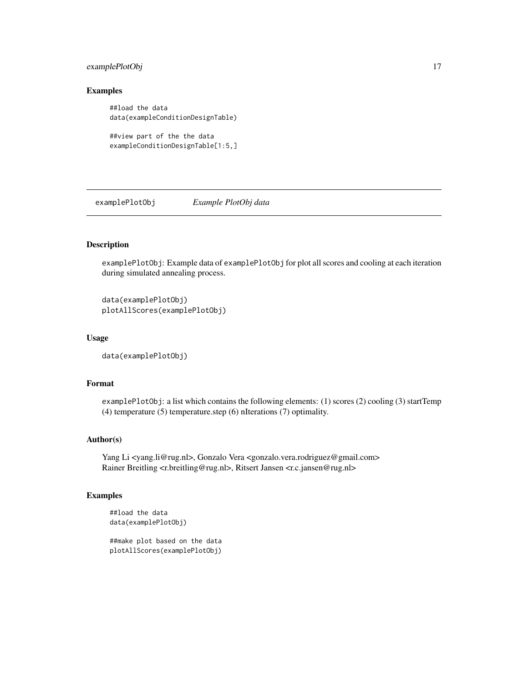# <span id="page-16-0"></span>examplePlotObj 17

# Examples

```
##load the data
data(exampleConditionDesignTable)
##view part of the the data
```

```
exampleConditionDesignTable[1:5,]
```
examplePlotObj *Example PlotObj data*

# Description

examplePlotObj: Example data of examplePlotObj for plot all scores and cooling at each iteration during simulated annealing process.

```
data(examplePlotObj)
plotAllScores(examplePlotObj)
```
# Usage

```
data(examplePlotObj)
```
#### Format

examplePlotObj: a list which contains the following elements: (1) scores (2) cooling (3) startTemp (4) temperature (5) temperature.step (6) nIterations (7) optimality.

#### Author(s)

Yang Li <yang.li@rug.nl>, Gonzalo Vera <gonzalo.vera.rodriguez@gmail.com> Rainer Breitling <r.breitling@rug.nl>, Ritsert Jansen <r.c.jansen@rug.nl>

# Examples

```
##load the data
data(examplePlotObj)
```
##make plot based on the data plotAllScores(examplePlotObj)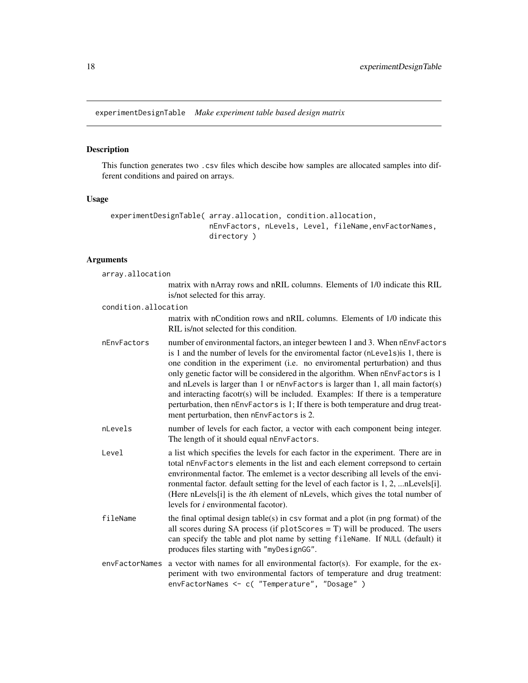<span id="page-17-1"></span><span id="page-17-0"></span>experimentDesignTable *Make experiment table based design matrix*

# Description

This function generates two .csv files which descibe how samples are allocated samples into different conditions and paired on arrays.

# Usage

```
experimentDesignTable( array.allocation, condition.allocation,
                       nEnvFactors, nLevels, Level, fileName,envFactorNames,
                       directory )
```

| array.allocation     |                                                                                                                                                                                                                                                                                                                                                                                                                                                                                                                                                                                                                                                |
|----------------------|------------------------------------------------------------------------------------------------------------------------------------------------------------------------------------------------------------------------------------------------------------------------------------------------------------------------------------------------------------------------------------------------------------------------------------------------------------------------------------------------------------------------------------------------------------------------------------------------------------------------------------------------|
|                      | matrix with nArray rows and nRIL columns. Elements of 1/0 indicate this RIL<br>is/not selected for this array.                                                                                                                                                                                                                                                                                                                                                                                                                                                                                                                                 |
| condition.allocation |                                                                                                                                                                                                                                                                                                                                                                                                                                                                                                                                                                                                                                                |
|                      | matrix with nCondition rows and nRIL columns. Elements of 1/0 indicate this<br>RIL is/not selected for this condition.                                                                                                                                                                                                                                                                                                                                                                                                                                                                                                                         |
| nEnvFactors          | number of environmental factors, an integer bewteen 1 and 3. When nEnvFactors<br>is 1 and the number of levels for the enviromental factor (nLevels) is 1, there is<br>one condition in the experiment (i.e. no enviromental perturbation) and thus<br>only genetic factor will be considered in the algorithm. When nEnvFactors is 1<br>and nLevels is larger than 1 or nEnvFactors is larger than 1, all main factor(s)<br>and interacting facotr(s) will be included. Examples: If there is a temperature<br>perturbation, then nEnvFactors is 1; If there is both temperature and drug treat-<br>ment perturbation, then nEnvFactors is 2. |
| nLevels              | number of levels for each factor, a vector with each component being integer.<br>The length of it should equal nEnvFactors.                                                                                                                                                                                                                                                                                                                                                                                                                                                                                                                    |
| Level                | a list which specifies the levels for each factor in the experiment. There are in<br>total nEnvFactors elements in the list and each element correpsond to certain<br>envrironmental factor. The emlemet is a vector describing all levels of the envi-<br>ronmental factor. default setting for the level of each factor is 1, 2,  nLevels[i].<br>(Here nLevels[i] is the <i>i</i> th element of nLevels, which gives the total number of<br>levels for <i>i</i> environmental facotor).                                                                                                                                                      |
| fileName             | the final optimal design table(s) in $\text{csv}$ format and a plot (in png format) of the<br>all scores during SA process (if $plotscores = T$ ) will be produced. The users<br>can specify the table and plot name by setting fileName. If NULL (default) it<br>produces files starting with "myDesignGG".                                                                                                                                                                                                                                                                                                                                   |
| envFactorNames       | a vector with names for all environmental factor(s). For example, for the ex-<br>periment with two environmental factors of temperature and drug treatment:<br>envFactorNames <- c( "Temperature", "Dosage" )                                                                                                                                                                                                                                                                                                                                                                                                                                  |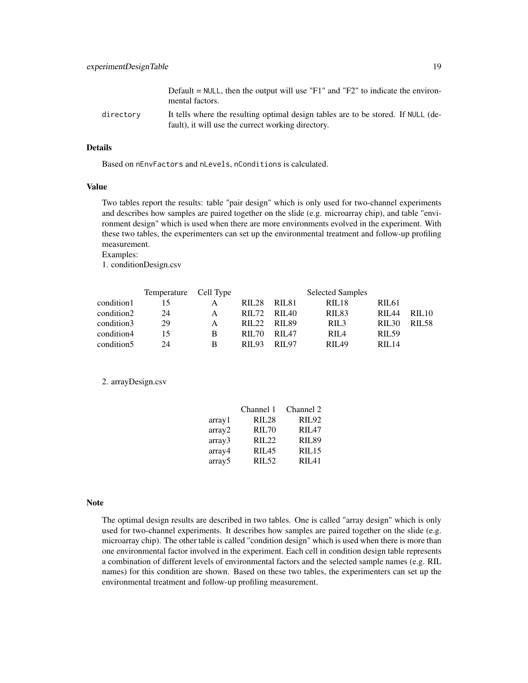|           | Default = $NULL$ , then the output will use "F1" and "F2" to indicate the environ-<br>mental factors.                                   |
|-----------|-----------------------------------------------------------------------------------------------------------------------------------------|
| directorv | It tells where the resulting optimal design tables are to be stored. If NULL (de-<br>fault), it will use the currect working directory. |

#### Details

Based on nEnvFactors and nLevels, nConditions is calculated.

#### Value

Two tables report the results: table "pair design" which is only used for two-channel experiments and describes how samples are paired together on the slide (e.g. microarray chip), and table "environment design" which is used when there are more environments evolved in the experiment. With these two tables, the experimenters can set up the environmental treatment and follow-up profiling measurement.

Examples:

1. conditionDesign.csv

|                        | Temperature Cell Type |   | <b>Selected Samples</b> |              |                   |              |              |
|------------------------|-----------------------|---|-------------------------|--------------|-------------------|--------------|--------------|
| condition1             | 15                    |   | <b>RIL28</b>            | - RIL81      | RIL <sub>18</sub> | <b>RIL61</b> |              |
| condition2             | 24                    | A |                         | RIL72 RIL40  | RIL <sub>83</sub> | RII.44       | <b>RIL10</b> |
| condition3             | 29                    | А |                         | RIL22 RIL89  | RIL <sub>3</sub>  | <b>RIL30</b> | <b>RIL58</b> |
| condition4             | 15                    | B | <b>RIL70</b>            | <b>RIL47</b> | RIL <sub>4</sub>  | <b>RIL59</b> |              |
| condition <sub>5</sub> | 24                    | B | RIL 93                  | RIL 97       | <b>RII 49</b>     | RII.14       |              |

2. arrayDesign.csv

|         | Channel 1         | Channel 2    |
|---------|-------------------|--------------|
| array 1 | <b>RIL28</b>      | <b>RIL92</b> |
| array2  | <b>RIL70</b>      | RII.47       |
| array3  | RIL22             | <b>RIL89</b> |
| array4  | RII.45            | RIL15        |
| array5  | RIL <sub>52</sub> | RII.41       |

#### Note

The optimal design results are described in two tables. One is called "array design" which is only used for two-channel experiments. It describes how samples are paired together on the slide (e.g. microarray chip). The other table is called "condition design" which is used when there is more than one environmental factor involved in the experiment. Each cell in condition design table represents a combination of different levels of environmental factors and the selected sample names (e.g. RIL names) for this condition are shown. Based on these two tables, the experimenters can set up the environmental treatment and follow-up profiling measurement.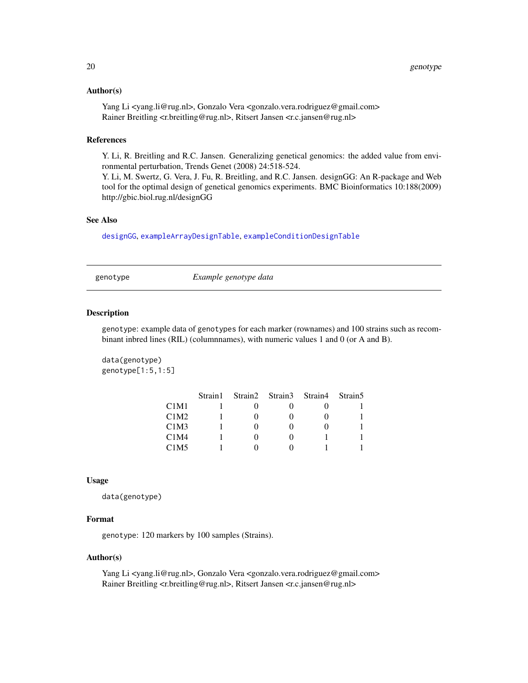#### <span id="page-19-0"></span>Author(s)

Yang Li <yang.li@rug.nl>, Gonzalo Vera <gonzalo.vera.rodriguez@gmail.com> Rainer Breitling <r.breitling@rug.nl>, Ritsert Jansen <r.c.jansen@rug.nl>

#### References

Y. Li, R. Breitling and R.C. Jansen. Generalizing genetical genomics: the added value from environmental perturbation, Trends Genet (2008) 24:518-524.

Y. Li, M. Swertz, G. Vera, J. Fu, R. Breitling, and R.C. Jansen. designGG: An R-package and Web tool for the optimal design of genetical genomics experiments. BMC Bioinformatics 10:188(2009) http://gbic.biol.rug.nl/designGG

# See Also

[designGG](#page-8-1), [exampleArrayDesignTable](#page-14-1), [exampleConditionDesignTable](#page-15-1)

genotype *Example genotype data*

# Description

genotype: example data of genotypes for each marker (rownames) and 100 strains such as recombinant inbred lines (RIL) (columnnames), with numeric values 1 and 0 (or A and B).

data(genotype) genotype[1:5,1:5]

|      | Strain1 |  | Strain2 Strain3 Strain4 Strain5 |  |
|------|---------|--|---------------------------------|--|
| C1M1 |         |  |                                 |  |
| C1M2 |         |  |                                 |  |
| C1M3 |         |  |                                 |  |
| C1M4 |         |  |                                 |  |
| C1M5 |         |  |                                 |  |

#### Usage

data(genotype)

#### Format

genotype: 120 markers by 100 samples (Strains).

#### Author(s)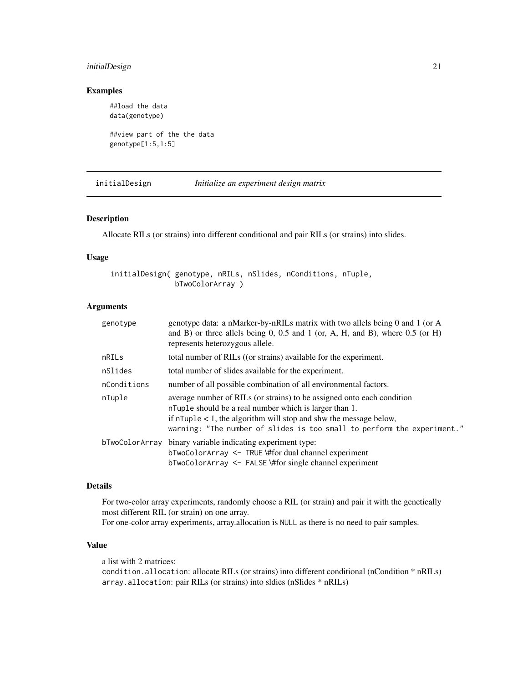# <span id="page-20-0"></span>initialDesign 21

# Examples

##load the data data(genotype)

```
##view part of the the data
genotype[1:5,1:5]
```
<span id="page-20-1"></span>initialDesign *Initialize an experiment design matrix*

#### Description

Allocate RILs (or strains) into different conditional and pair RILs (or strains) into slides.

# Usage

initialDesign( genotype, nRILs, nSlides, nConditions, nTuple, bTwoColorArray )

#### Arguments

| genotype       | genotype data: a nMarker-by-nRILs matrix with two allels being 0 and 1 (or A<br>and B) or three allels being 0, 0.5 and 1 (or, A, H, and B), where $0.5$ (or H)<br>represents heterozygous allele.                                                                                        |
|----------------|-------------------------------------------------------------------------------------------------------------------------------------------------------------------------------------------------------------------------------------------------------------------------------------------|
| nRILs          | total number of RILs ((or strains) available for the experiment.                                                                                                                                                                                                                          |
| nSlides        | total number of slides available for the experiment.                                                                                                                                                                                                                                      |
| nConditions    | number of all possible combination of all environmental factors.                                                                                                                                                                                                                          |
| nTuple         | average number of RILs (or strains) to be assigned onto each condition<br>n Tuple should be a real number which is larger than 1.<br>if $n$ Tuple $\lt 1$ , the algorithm will stop and shw the message below,<br>warning: "The number of slides is too small to perform the experiment." |
| bTwoColorArray | binary variable indicating experiment type:<br>$bTwoColorArray \leq THE \# for dual channel experiment$<br>$bTwoColorArray \leq FALSE \# for single channel experiment$                                                                                                                   |

#### Details

For two-color array experiments, randomly choose a RIL (or strain) and pair it with the genetically most different RIL (or strain) on one array. For one-color array experiments, array.allocation is NULL as there is no need to pair samples.

### Value

a list with 2 matrices: condition.allocation: allocate RILs (or strains) into different conditional (nCondition \* nRILs) array.allocation: pair RILs (or strains) into sldies (nSlides \* nRILs)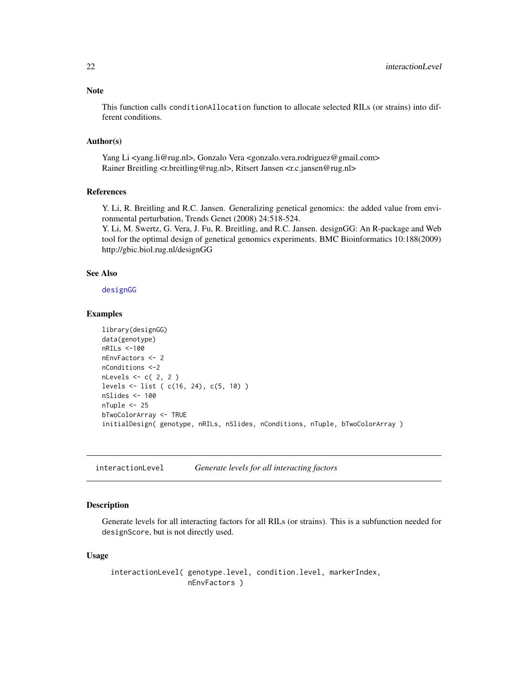<span id="page-21-0"></span>This function calls conditionAllocation function to allocate selected RILs (or strains) into different conditions.

# Author(s)

Yang Li <yang.li@rug.nl>, Gonzalo Vera <gonzalo.vera.rodriguez@gmail.com> Rainer Breitling <r.breitling@rug.nl>, Ritsert Jansen <r.c.jansen@rug.nl>

# References

Y. Li, R. Breitling and R.C. Jansen. Generalizing genetical genomics: the added value from environmental perturbation, Trends Genet (2008) 24:518-524.

Y. Li, M. Swertz, G. Vera, J. Fu, R. Breitling, and R.C. Jansen. designGG: An R-package and Web tool for the optimal design of genetical genomics experiments. BMC Bioinformatics 10:188(2009) http://gbic.biol.rug.nl/designGG

#### See Also

[designGG](#page-8-1)

#### Examples

```
library(designGG)
data(genotype)
nRILs <-100
nEnvFactors <- 2
nConditions <-2
nLevels <- c( 2, 2 )
levels <- list ( c(16, 24), c(5, 10) )
nSlides <- 100
nTuple <- 25
bTwoColorArray <- TRUE
initialDesign( genotype, nRILs, nSlides, nConditions, nTuple, bTwoColorArray )
```
# Description

Generate levels for all interacting factors for all RILs (or strains). This is a subfunction needed for designScore, but is not directly used.

### Usage

interactionLevel( genotype.level, condition.level, markerIndex, nEnvFactors )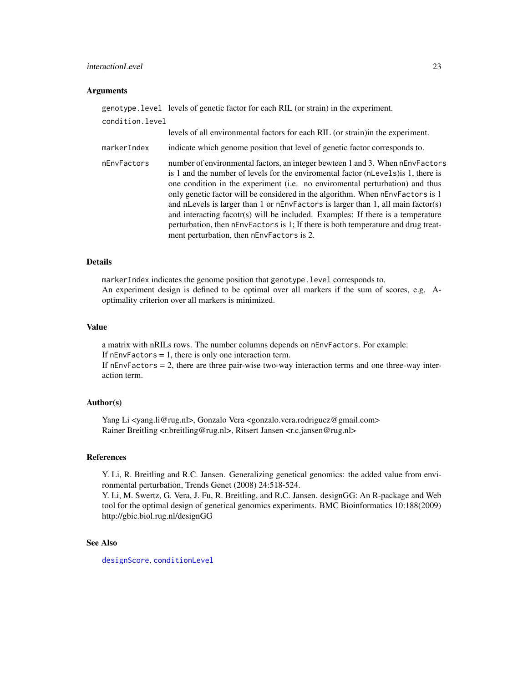# <span id="page-22-0"></span>interactionLevel 23

#### Arguments

genotype.level levels of genetic factor for each RIL (or strain) in the experiment. condition.level levels of all environmental factors for each RIL (or strain)in the experiment. markerIndex indicate which genome position that level of genetic factor corresponds to. nEnvFactors number of environmental factors, an integer bewteen 1 and 3. When nEnvFactors is 1 and the number of levels for the enviromental factor (nLevels)is 1, there is one condition in the experiment (i.e. no enviromental perturbation) and thus only genetic factor will be considered in the algorithm. When nEnvFactors is 1 and nLevels is larger than 1 or nEnvFactors is larger than 1, all main factor(s) and interacting facotr(s) will be included. Examples: If there is a temperature perturbation, then nEnvFactors is 1; If there is both temperature and drug treatment perturbation, then nEnvFactors is 2.

### Details

markerIndex indicates the genome position that genotype.level corresponds to. An experiment design is defined to be optimal over all markers if the sum of scores, e.g. Aoptimality criterion over all markers is minimized.

## Value

a matrix with nRILs rows. The number columns depends on nEnvFactors. For example: If  $nEnvFactors = 1$ , there is only one interaction term. If nEnvFactors = 2, there are three pair-wise two-way interaction terms and one three-way interaction term.

#### Author(s)

Yang Li <yang.li@rug.nl>, Gonzalo Vera <gonzalo.vera.rodriguez@gmail.com> Rainer Breitling <r.breitling@rug.nl>, Ritsert Jansen <r.c.jansen@rug.nl>

#### References

Y. Li, R. Breitling and R.C. Jansen. Generalizing genetical genomics: the added value from environmental perturbation, Trends Genet (2008) 24:518-524.

Y. Li, M. Swertz, G. Vera, J. Fu, R. Breitling, and R.C. Jansen. designGG: An R-package and Web tool for the optimal design of genetical genomics experiments. BMC Bioinformatics 10:188(2009) http://gbic.biol.rug.nl/designGG

#### See Also

[designScore](#page-12-1), [conditionLevel](#page-5-1)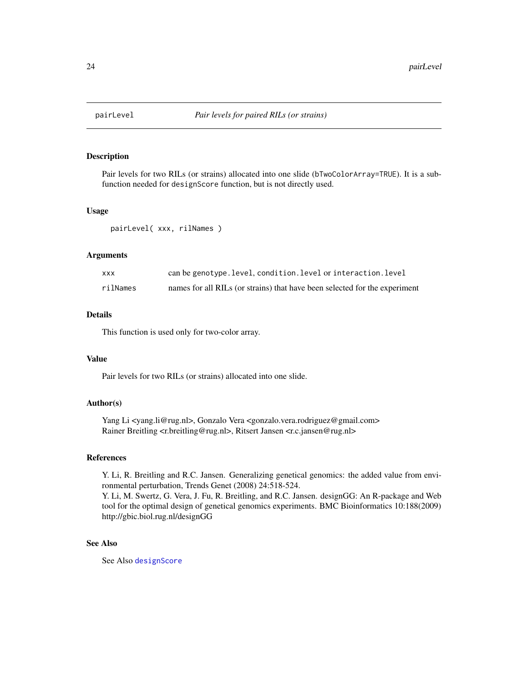<span id="page-23-0"></span>

# Description

Pair levels for two RILs (or strains) allocated into one slide (bTwoColorArray=TRUE). It is a subfunction needed for designScore function, but is not directly used.

#### Usage

pairLevel( xxx, rilNames )

#### Arguments

| <b>XXX</b> | can be genotype. level, condition. level or interaction. level             |
|------------|----------------------------------------------------------------------------|
| rilNames   | names for all RILs (or strains) that have been selected for the experiment |

# Details

This function is used only for two-color array.

#### Value

Pair levels for two RILs (or strains) allocated into one slide.

# Author(s)

Yang Li <yang.li@rug.nl>, Gonzalo Vera <gonzalo.vera.rodriguez@gmail.com> Rainer Breitling <r.breitling@rug.nl>, Ritsert Jansen <r.c.jansen@rug.nl>

#### References

Y. Li, R. Breitling and R.C. Jansen. Generalizing genetical genomics: the added value from environmental perturbation, Trends Genet (2008) 24:518-524.

Y. Li, M. Swertz, G. Vera, J. Fu, R. Breitling, and R.C. Jansen. designGG: An R-package and Web tool for the optimal design of genetical genomics experiments. BMC Bioinformatics 10:188(2009) http://gbic.biol.rug.nl/designGG

#### See Also

See Also [designScore](#page-12-1)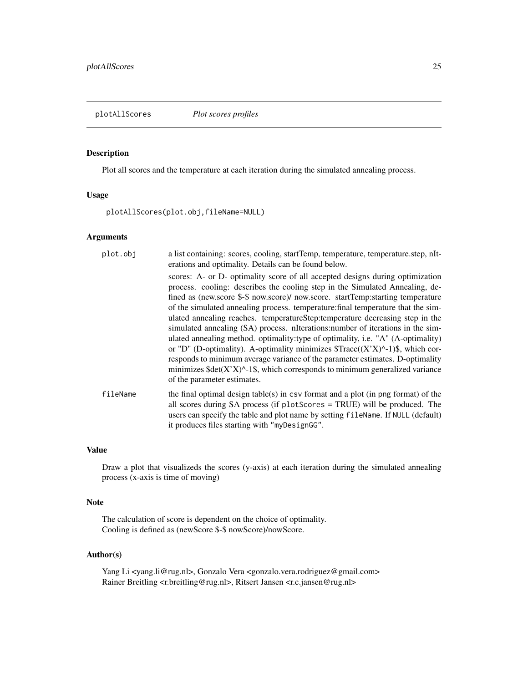<span id="page-24-1"></span><span id="page-24-0"></span>plotAllScores *Plot scores profiles*

### Description

Plot all scores and the temperature at each iteration during the simulated annealing process.

# Usage

plotAllScores(plot.obj,fileName=NULL)

# Arguments

| plot.obj | a list containing: scores, cooling, startTemp, temperature, temperature.step, nIt-<br>erations and optimality. Details can be found below.                                                                                                                                                                                                                                                                                                                                                                                                                                                                                                                                                                                                                                                                                                                                                      |
|----------|-------------------------------------------------------------------------------------------------------------------------------------------------------------------------------------------------------------------------------------------------------------------------------------------------------------------------------------------------------------------------------------------------------------------------------------------------------------------------------------------------------------------------------------------------------------------------------------------------------------------------------------------------------------------------------------------------------------------------------------------------------------------------------------------------------------------------------------------------------------------------------------------------|
|          | scores: A- or D- optimality score of all accepted designs during optimization<br>process. cooling: describes the cooling step in the Simulated Annealing, de-<br>fined as (new.score \$-\$ now.score)/ now.score. startTemp:starting temperature<br>of the simulated annealing process, temperature: final temperature that the sim-<br>ulated annealing reaches. temperatureStep:temperature decreasing step in the<br>simulated annealing (SA) process. nIterations: number of iterations in the sim-<br>ulated annealing method. optimality: type of optimality, i.e. "A" (A-optimality)<br>or "D" (D-optimality). A-optimality minimizes $Trace((X'X)^{-1})\$ , which cor-<br>responds to minimum average variance of the parameter estimates. D-optimality<br>minimizes $\text{Sdet}(X'X)^{\wedge}$ -1\$, which corresponds to minimum generalized variance<br>of the parameter estimates. |
| fileName | the final optimal design table(s) in $\text{csv}$ format and a plot (in png format) of the<br>all scores during SA process (if plotScores = TRUE) will be produced. The<br>users can specify the table and plot name by setting fileName. If NULL (default)<br>it produces files starting with "myDesignGG".                                                                                                                                                                                                                                                                                                                                                                                                                                                                                                                                                                                    |

#### Value

Draw a plot that visualizeds the scores (y-axis) at each iteration during the simulated annealing process (x-axis is time of moving)

### Note

The calculation of score is dependent on the choice of optimality. Cooling is defined as (newScore \$-\$ nowScore)/nowScore.

# Author(s)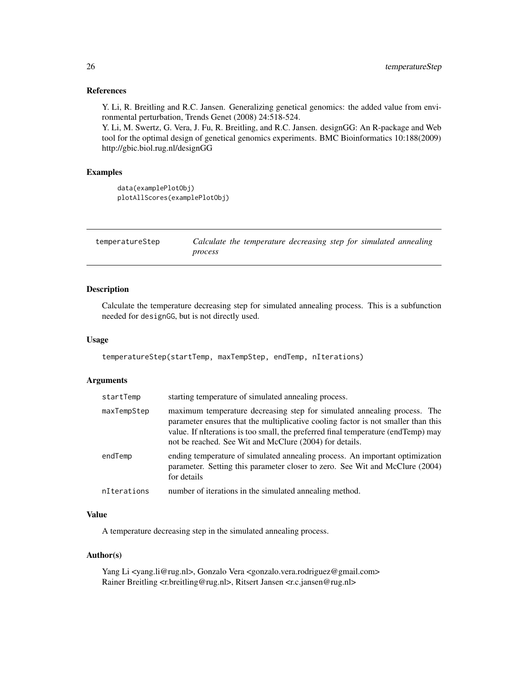#### References

Y. Li, R. Breitling and R.C. Jansen. Generalizing genetical genomics: the added value from environmental perturbation, Trends Genet (2008) 24:518-524.

Y. Li, M. Swertz, G. Vera, J. Fu, R. Breitling, and R.C. Jansen. designGG: An R-package and Web tool for the optimal design of genetical genomics experiments. BMC Bioinformatics 10:188(2009) http://gbic.biol.rug.nl/designGG

#### Examples

```
data(examplePlotObj)
plotAllScores(examplePlotObj)
```

| temperatureStep | Calculate the temperature decreasing step for simulated annealing |  |  |  |
|-----------------|-------------------------------------------------------------------|--|--|--|
|                 | process                                                           |  |  |  |

# Description

Calculate the temperature decreasing step for simulated annealing process. This is a subfunction needed for designGG, but is not directly used.

#### Usage

temperatureStep(startTemp, maxTempStep, endTemp, nIterations)

#### **Arguments**

| startTemp   | starting temperature of simulated annealing process.                                                                                                                                                                                                                                                          |
|-------------|---------------------------------------------------------------------------------------------------------------------------------------------------------------------------------------------------------------------------------------------------------------------------------------------------------------|
| maxTempStep | maximum temperature decreasing step for simulated annealing process. The<br>parameter ensures that the multiplicative cooling factor is not smaller than this<br>value. If niterations is too small, the preferred final temperature (endTemp) may<br>not be reached. See Wit and McClure (2004) for details. |
| endTemp     | ending temperature of simulated annealing process. An important optimization<br>parameter. Setting this parameter closer to zero. See Wit and McClure (2004)<br>for details                                                                                                                                   |
| nIterations | number of iterations in the simulated annealing method.                                                                                                                                                                                                                                                       |

#### Value

A temperature decreasing step in the simulated annealing process.

#### Author(s)

<span id="page-25-0"></span>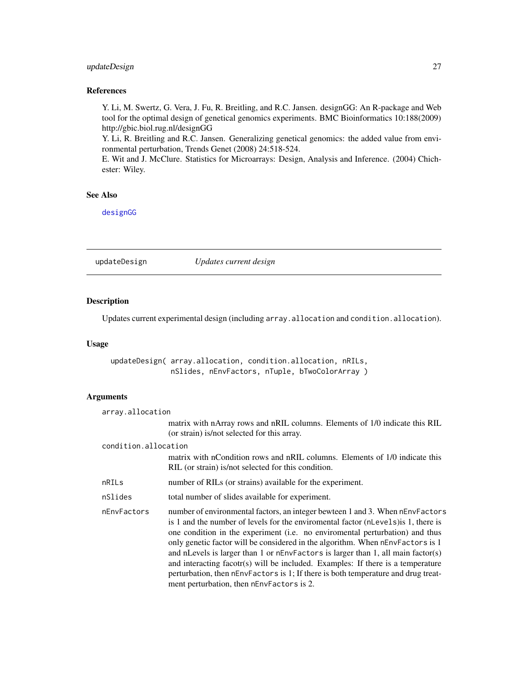# <span id="page-26-0"></span>updateDesign 27

# References

Y. Li, M. Swertz, G. Vera, J. Fu, R. Breitling, and R.C. Jansen. designGG: An R-package and Web tool for the optimal design of genetical genomics experiments. BMC Bioinformatics 10:188(2009) http://gbic.biol.rug.nl/designGG

Y. Li, R. Breitling and R.C. Jansen. Generalizing genetical genomics: the added value from environmental perturbation, Trends Genet (2008) 24:518-524.

E. Wit and J. McClure. Statistics for Microarrays: Design, Analysis and Inference. (2004) Chichester: Wiley.

# See Also

[designGG](#page-8-1)

<span id="page-26-1"></span>updateDesign *Updates current design*

# Description

Updates current experimental design (including array.allocation and condition.allocation).

#### Usage

updateDesign( array.allocation, condition.allocation, nRILs, nSlides, nEnvFactors, nTuple, bTwoColorArray )

| array.allocation     |                                                                                                                                                                                                                                                                                                                                                                                                                                                                                                                                                                                                                                                 |
|----------------------|-------------------------------------------------------------------------------------------------------------------------------------------------------------------------------------------------------------------------------------------------------------------------------------------------------------------------------------------------------------------------------------------------------------------------------------------------------------------------------------------------------------------------------------------------------------------------------------------------------------------------------------------------|
|                      | matrix with nArray rows and nRIL columns. Elements of 1/0 indicate this RIL<br>(or strain) is/not selected for this array.                                                                                                                                                                                                                                                                                                                                                                                                                                                                                                                      |
| condition.allocation |                                                                                                                                                                                                                                                                                                                                                                                                                                                                                                                                                                                                                                                 |
|                      | matrix with nCondition rows and nRIL columns. Elements of 1/0 indicate this<br>RIL (or strain) is/not selected for this condition.                                                                                                                                                                                                                                                                                                                                                                                                                                                                                                              |
| nRILs                | number of RILs (or strains) available for the experiment.                                                                                                                                                                                                                                                                                                                                                                                                                                                                                                                                                                                       |
| nSlides              | total number of slides available for experiment.                                                                                                                                                                                                                                                                                                                                                                                                                                                                                                                                                                                                |
| nEnvFactors          | number of environmental factors, an integer bewteen 1 and 3. When nEnvFactors<br>is 1 and the number of levels for the environmental factor (nLevels) is 1, there is<br>one condition in the experiment (i.e. no enviromental perturbation) and thus<br>only genetic factor will be considered in the algorithm. When nEnvFactors is 1<br>and nLevels is larger than 1 or nEnvFactors is larger than 1, all main factor(s)<br>and interacting facotr(s) will be included. Examples: If there is a temperature<br>perturbation, then nEnvFactors is 1; If there is both temperature and drug treat-<br>ment perturbation, then nEnvFactors is 2. |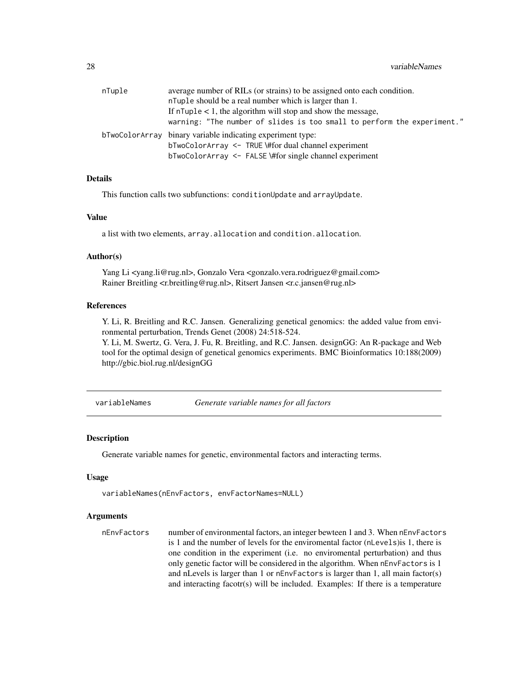<span id="page-27-0"></span>

| nTuple | average number of RILs (or strains) to be assigned onto each condition. |
|--------|-------------------------------------------------------------------------|
|        | n Tuple should be a real number which is larger than 1.                 |
|        | If $n \text{Tuple} < 1$ , the algorithm will stop and show the message, |
|        | warning: "The number of slides is too small to perform the experiment." |
|        | bTwoColorArray binary variable indicating experiment type:              |
|        | bTwoColorArray <- TRUE \#for dual channel experiment                    |
|        | bTwoColorArray <- FALSE \#for single channel experiment                 |

#### Details

This function calls two subfunctions: conditionUpdate and arrayUpdate.

#### Value

a list with two elements, array.allocation and condition.allocation.

#### Author(s)

Yang Li <yang.li@rug.nl>, Gonzalo Vera <gonzalo.vera.rodriguez@gmail.com> Rainer Breitling <r.breitling@rug.nl>, Ritsert Jansen <r.c.jansen@rug.nl>

#### References

Y. Li, R. Breitling and R.C. Jansen. Generalizing genetical genomics: the added value from environmental perturbation, Trends Genet (2008) 24:518-524.

Y. Li, M. Swertz, G. Vera, J. Fu, R. Breitling, and R.C. Jansen. designGG: An R-package and Web tool for the optimal design of genetical genomics experiments. BMC Bioinformatics 10:188(2009) http://gbic.biol.rug.nl/designGG

<span id="page-27-1"></span>variableNames *Generate variable names for all factors*

#### Description

Generate variable names for genetic, environmental factors and interacting terms.

#### Usage

```
variableNames(nEnvFactors, envFactorNames=NULL)
```

```
nEnvFactors number of environmental factors, an integer bewteen 1 and 3. When nEnvFactors
                  is 1 and the number of levels for the enviromental factor (nLevels)is 1, there is
                  one condition in the experiment (i.e. no enviromental perturbation) and thus
                  only genetic factor will be considered in the algorithm. When nEnvFactors is 1
                  and nLevels is larger than 1 or nEnvFactors is larger than 1, all main factor(s)
                  and interacting facotr(s) will be included. Examples: If there is a temperature
```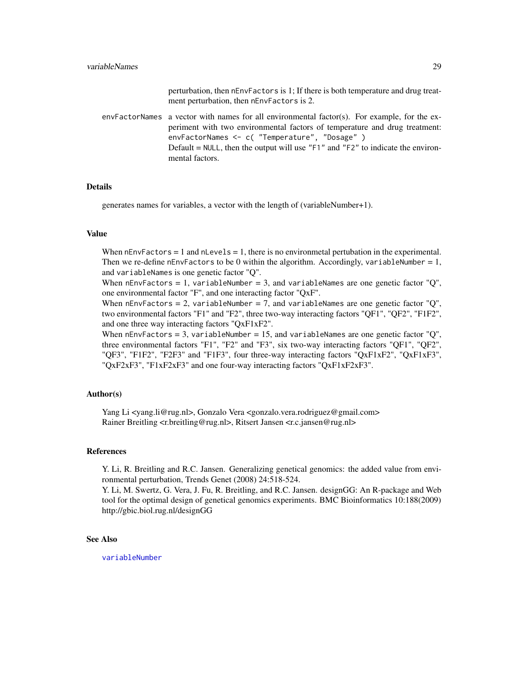perturbation, then nEnvFactors is 1; If there is both temperature and drug treatment perturbation, then nEnvFactors is 2.

<span id="page-28-0"></span> $envFactorNames$  a vector with names for all environmental factor(s). For example, for the experiment with two environmental factors of temperature and drug treatment: envFactorNames <- c( "Temperature", "Dosage" ) Default = NULL, then the output will use " $F1$ " and " $F2$ " to indicate the environmental factors.

#### Details

generates names for variables, a vector with the length of (variableNumber+1).

#### Value

When  $nEnvFactors = 1$  and  $nLevels = 1$ , there is no environmetal pertubation in the experimental. Then we re-define nEnvFactors to be 0 within the algorithm. Accordingly, variableNumber = 1, and variableNames is one genetic factor "Q".

When nEnvFactors = 1, variableNumber = 3, and variableNames are one genetic factor " $Q$ ", one environmental factor "F", and one interacting factor "QxF".

When  $nEnvFactors = 2$ , variableNumber = 7, and variableNames are one genetic factor "Q", two environmental factors "F1" and "F2", three two-way interacting factors "QF1", "QF2", "F1F2", and one three way interacting factors "QxF1xF2".

When  $nEnvFactors = 3$ , variableNumber = 15, and variableNames are one genetic factor " $Q$ ", three environmental factors "F1", "F2" and "F3", six two-way interacting factors "QF1", "QF2", "QF3", "F1F2", "F2F3" and "F1F3", four three-way interacting factors "QxF1xF2", "QxF1xF3", "QxF2xF3", "F1xF2xF3" and one four-way interacting factors "QxF1xF2xF3".

#### Author(s)

Yang Li <yang.li@rug.nl>, Gonzalo Vera <gonzalo.vera.rodriguez@gmail.com> Rainer Breitling <r.breitling@rug.nl>, Ritsert Jansen <r.c.jansen@rug.nl>

# References

Y. Li, R. Breitling and R.C. Jansen. Generalizing genetical genomics: the added value from environmental perturbation, Trends Genet (2008) 24:518-524.

Y. Li, M. Swertz, G. Vera, J. Fu, R. Breitling, and R.C. Jansen. designGG: An R-package and Web tool for the optimal design of genetical genomics experiments. BMC Bioinformatics 10:188(2009) http://gbic.biol.rug.nl/designGG

#### See Also

[variableNumber](#page-29-1)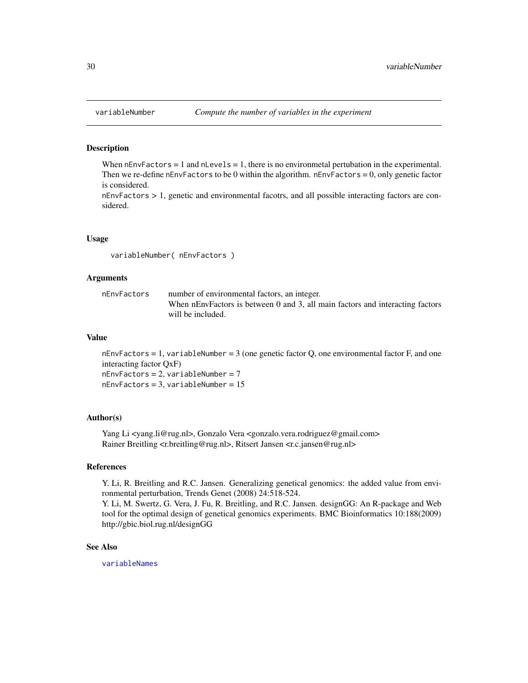#### Description

When  $nEnvFactors = 1$  and  $nLevels = 1$ , there is no environmetal pertubation in the experimental. Then we re-define nEnvFactors to be 0 within the algorithm. nEnvFactors = 0, only genetic factor is considered.

nEnvFactors > 1, genetic and environmental facotrs, and all possible interacting factors are considered.

#### Usage

variableNumber( nEnvFactors )

### Arguments

| number of environmental factors, an integer.                                  |
|-------------------------------------------------------------------------------|
| When nEnvFactors is between 0 and 3, all main factors and interacting factors |
| will be included.                                                             |
|                                                                               |

# Value

nEnvFactors = 1, variableNumber = 3 (one genetic factor  $Q$ , one environmental factor  $F$ , and one interacting factor QxF)  $nEnvFactors = 2$ ,  $variableNumber = 7$  $nEnvFactors = 3$ , variableNumber = 15

## Author(s)

Yang Li <yang.li@rug.nl>, Gonzalo Vera <gonzalo.vera.rodriguez@gmail.com> Rainer Breitling <r.breitling@rug.nl>, Ritsert Jansen <r.c.jansen@rug.nl>

#### References

Y. Li, R. Breitling and R.C. Jansen. Generalizing genetical genomics: the added value from environmental perturbation, Trends Genet (2008) 24:518-524.

Y. Li, M. Swertz, G. Vera, J. Fu, R. Breitling, and R.C. Jansen. designGG: An R-package and Web tool for the optimal design of genetical genomics experiments. BMC Bioinformatics 10:188(2009) http://gbic.biol.rug.nl/designGG

# See Also

[variableNames](#page-27-1)